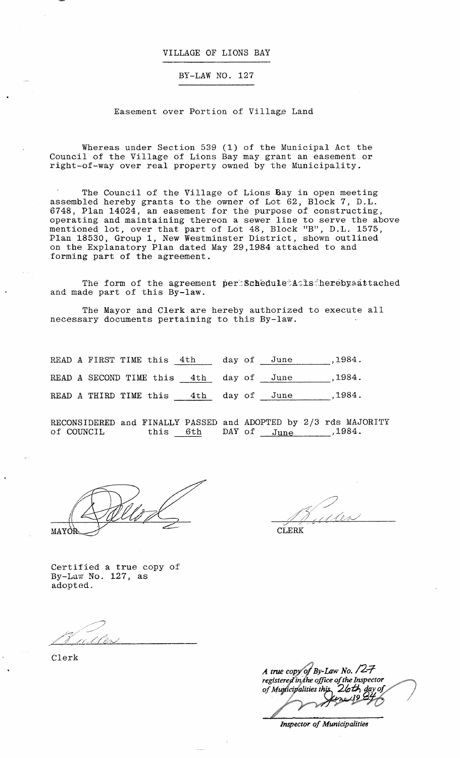#### VILLAGE OF LIONS BAY

## BY-LAW NO. 127

#### Easement over Portion of Village Land

Whereas under Section 539 (1) of the Municipal Act the Council of the Village of Lions Bay may grant an easement or right-of-way over real property owned by the Municipality.

The Council of the Village of Lions Bay in open meeting assembled hereby grants to the owner of Lot 62, Block 7, D.L. 6748, Plan 14024, an easement for the purpose of constructing, operating and maintaining thereon a sewer line to serve the above mentioned lot, over that part of Lot 48, Block 1 'B", D. L. 1575, Plan 18530, Group 1, New Westminster District, shown outlined on the Explanatory Plan dated May 29,1984 attached to and forming part of the agreement.

The form of the agreement per Schedule A is herebyaattached and made part of this By-law.

The Mayor and Clerk are hereby authorized to execute all necessary documents pertaining to this By-law.

READ A FIRST TIME this  $4th$  day of June ,1984. READ A SECOND TIME this  $4th$ READ A THIRD TIME this 4th day of June ,1984. day of June ,1984.

RECONSIDERED and FINALLY PASSED and ADOPTED by 2/3 rds MAJORITY of COUNCIL this 6th  $\texttt{DAY}$  of  $\texttt{June}$  ,1984.

MAYOR

/ */ //;f://{J/;J*  :/ '/ ~''-" '-

CLERK

Certified a true copy of By-Law No. 127, as adopted.

Clerk

A true copy of By-Law No.  $\angle$ 7 registered in the office of the Inspector of Municipalities this 26th day of

*Inspector of Municipalities*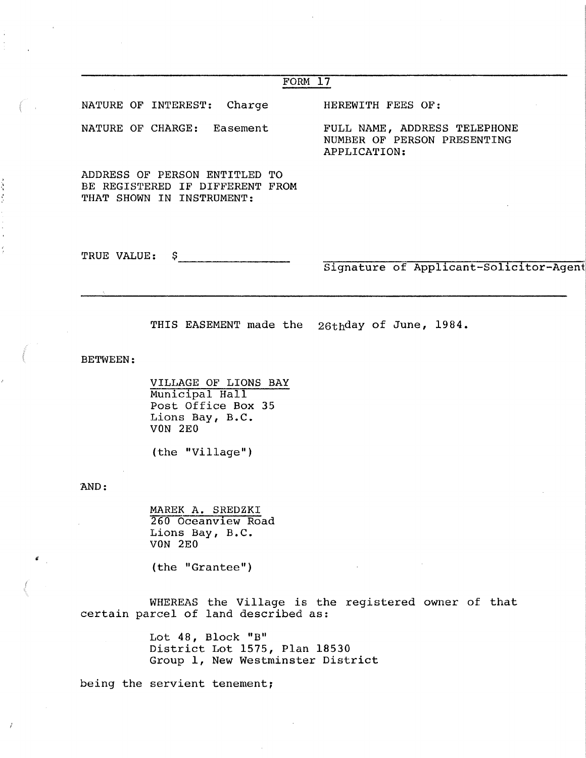| FORM 17                                                                                           |                                                                             |
|---------------------------------------------------------------------------------------------------|-----------------------------------------------------------------------------|
| NATURE OF INTEREST: Charge                                                                        | HEREWITH FEES OF:                                                           |
| NATURE OF CHARGE: Easement                                                                        | FULL NAME, ADDRESS TELEPHONE<br>NUMBER OF PERSON PRESENTING<br>APPLICATION: |
| ADDRESS OF PERSON ENTITLED TO<br>BE REGISTERED IF DIFFERENT FROM<br>THAT SHOWN IN INSTRUMENT:     |                                                                             |
| TRUE VALUE:<br>S.                                                                                 |                                                                             |
|                                                                                                   |                                                                             |
|                                                                                                   | THIS EASEMENT made the 26thday of June, 1984.                               |
| <b>BETWEEN:</b>                                                                                   | Signature of Applicant-Solicitor-Agent                                      |
| VILLAGE OF LIONS BAY<br>Municipal Hall<br>Post Office Box 35<br>Lions Bay, B.C.<br><b>VON 2E0</b> |                                                                             |

AND:

÷

**Sales of all of** 

l,

 $\bar{J}$ 

MAREK A. SREDZKI 260 Oceanview Road Lions Bay, B.C. VON 2EO

(the "Grantee")

WHEREAS the Village is the registered owner of that certain parcel of land described as:

> Lot 48, Block "B" District Lot 1575, Plan 18530 Group 1, New Westminster District

being the servient tenement;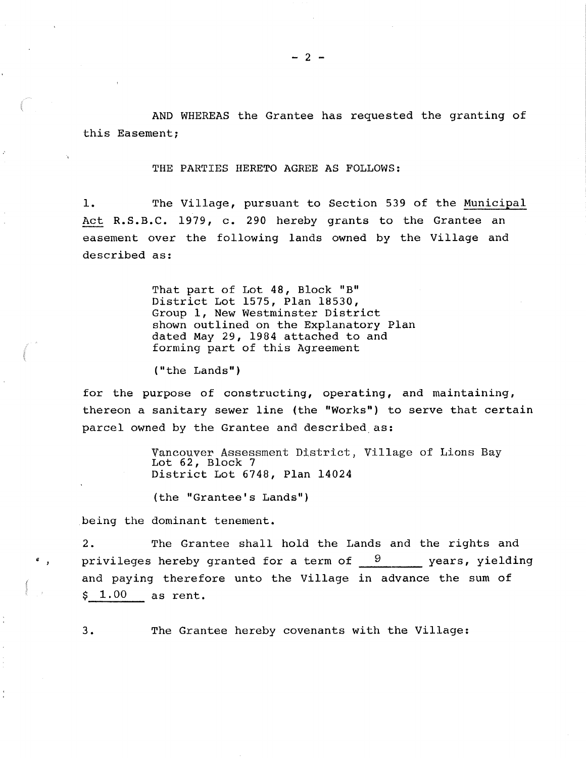AND WHEREAS the Grantee has requested the granting of this Easement;

THE PARTIES HERETO AGREE AS FOLLOWS:

1. The Village, pursuant to Section 539 of the Municipal Act R.S.B.C. 1979, c. 290 hereby grants to the Grantee an easement over the following lands owned by the Village and described as:

> That part of Lot 48, Block "B" District Lot 1575, Plan 18530, Group 1, New Westminster District shown outlined on the Explanatory Plan dated May 29, 1984 attached to and forming part of this Agreement

("the Lands")

for the purpose of constructing, operating, and maintaining, thereon a sanitary sewer line (the "Works") to serve that certain parcel owned by the Grantee and described as:

> Vancouver Assessment District, Village of Lions Bay Lot 62, Block 7 District Lot 6748, Plan 14024

(the "Grantee's Lands")

being the dominant tenement.

2. The Grantee shall hold the Lands and the rights and privileges hereby granted for a term of  $9$  years, yielding and paying therefore unto the Village in advance the sum of  $$1.00$  as rent.

3. The Grantee hereby covenants with the Village: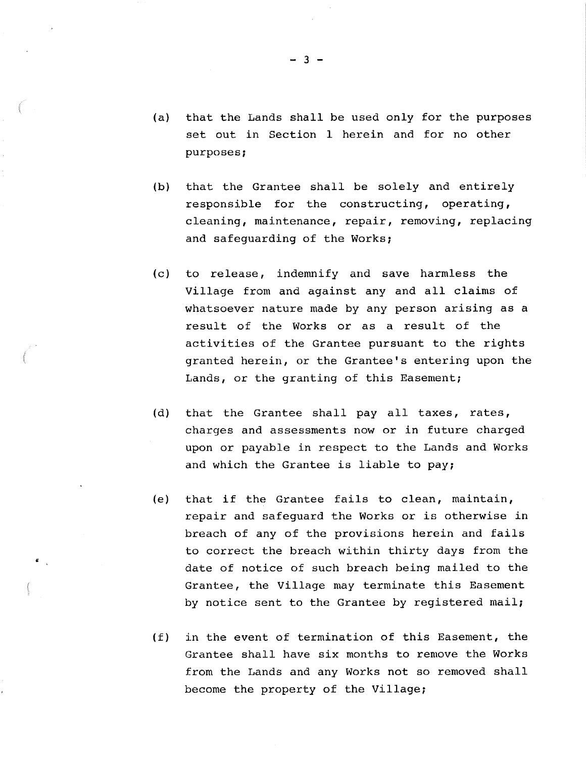- (a) that the Lands shall be used only for the purposes set out in Section 1 herein and for no other purposes;
- (b) that the Grantee shall be solely and entirely responsible for the constructing, operating, cleaning, maintenance, repair, removing, replacing and safeguarding of the Works;
- (c) to release, indemnify and save harmless the Village from and against any and all claims of whatsoever nature made by any person arising as a result of the Works or as a result of the activities of the Grantee pursuant to the rights granted herein, or the Grantee's entering upon the Lands, or the granting of this Easement;
- (d) that the Grantee shall pay all taxes, rates, charges and assessments now or in future charged upon or payable in respect to the Lands and Works and which the Grantee is liable to pay;
- (e) that if the Grantee fails to clean, maintain, repair and safeguard the Works or is otherwise in breach of any of the provisions herein and fails to correct the breach within thirty days from the date of notice of such breach being mailed to the Grantee, the Village may terminate this Easement by notice sent to the Grantee by registered mail;
- (f) in the event of termination of this Easement, the Grantee shall have six months to remove the Works from the Lands and any Works not so removed shall become the property of the Village;

 $- 3 -$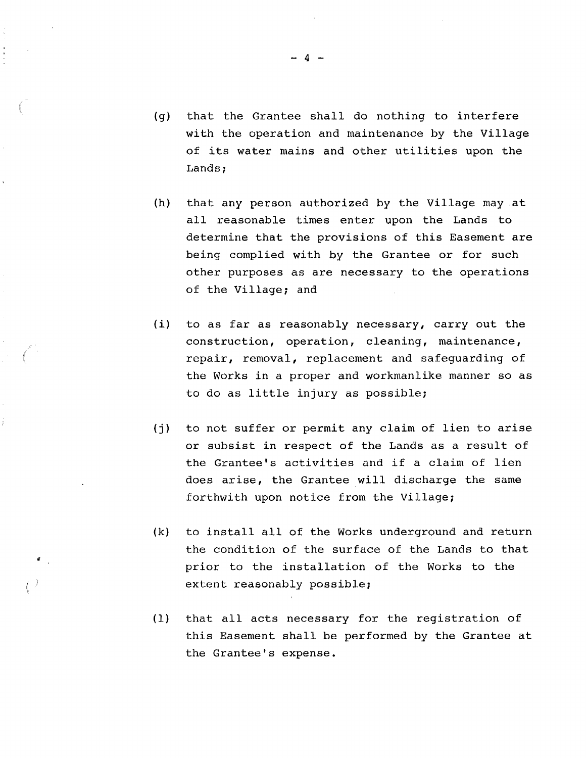- (g) that the Grantee shall do nothing to interfere with the operation and maintenance by the Village of its water mains and other utilities upon the Lands;
- (h) that any person authorized by the Village may at all reasonable times enter upon the Lands to determine that the provisions of this Easement are being complied with by the Grantee or for such other purposes as are necessary to the operations of the Village; and
- (i) to as far as reasonably necessary, carry out the construction, operation, cleaning, maintenance, repair, removal, replacement and safeguarding of the Works in a proper and workmanlike manner so as to do as little injury as possible;
- (j) to not suffer or permit any claim of lien to arise or subsist in respect of the Lands as a result of the Grantee's activities and if a claim of lien does arise, the Grantee will discharge the same forthwith upon notice from the Village;
- (k) to install all of the Works underground and return the condition of the surface of the Lands to that prior to the installation of the Works to the extent reasonably possible;
- (1) that all acts necessary for the registration of this Easement shall be performed by the Grantee at the Grantee's expense.

- 4 -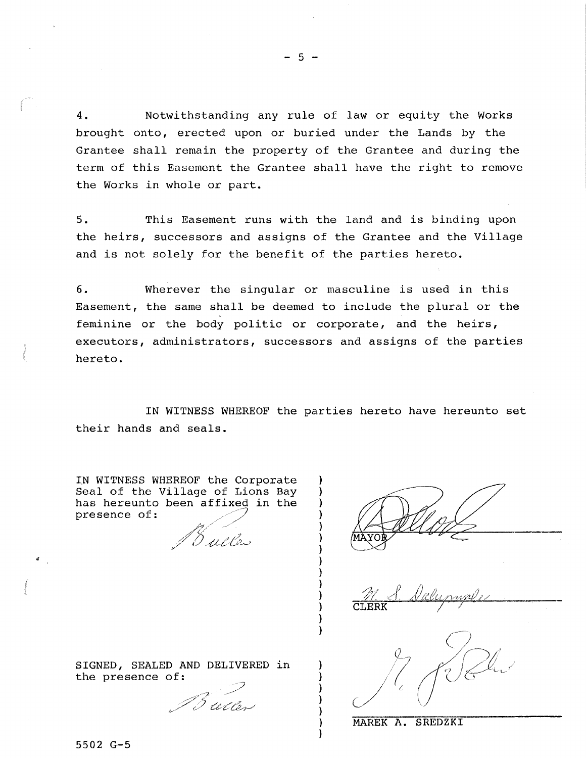4 • Notwithstanding any rule of law or equity the Works brought onto, erected upon or buried under the Lands by the Grantee shall remain the property of the Grantee and during the term of this Easement the Grantee shall have the right to remove the Works in whole or part.

5. This Easement runs with the land and is binding upon the heirs, successors and assigns of the Grantee and the Village and is not solely for the benefit of the parties hereto.

6. Wherever the singular or masculine is used in this Easement, the same shall be deemed to include the plural or the feminine or the body politic or corporate, and the heirs, executors, administrators, successors and assigns of the parties hereto.

IN WITNESS WHEREOF the parties hereto have hereunto set their hands and seals.

> ) ) ) ) ) ) ) ) ) ) ) ) ) )

IN WITNESS WHEREOF the Corporate Seal of the Village of Lions Bay has hereunto been affixed in the presence of: */* / 'r/' /'

:!) ;' *,/' / ,p /,.. <sup>y</sup>*;/ I .£,Lt./li?~>

//7~·· / / *t*   $\bigcup$ 

SIGNED, SEALED AND DELIVERED in the presence of:

 $\mathscr{P}$ v~·.f ,;?z::'di~1-"

MAREK A. SREDZKI

5502 G-5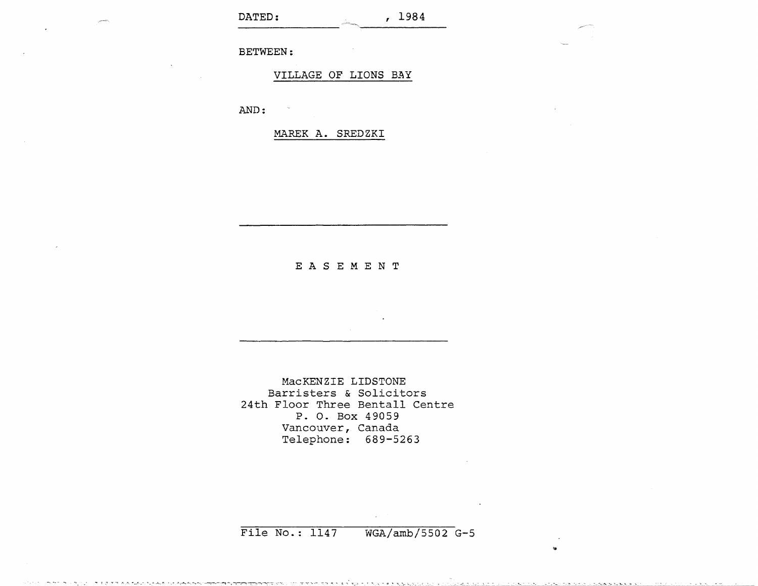BETWEEN:

VILLAGE OF LIONS BAY

AND:

MAREK A. SREDZKI

### E A S E M E N T

MacKENZIE LIDSTONE Barristers & Solicitors 24th Floor Three Bentall Centre P. o. Box 49059 Vancouver, Canada Telephone: 689-5263

# File No.: 1147 WGA/arnb/5502 G-5

..